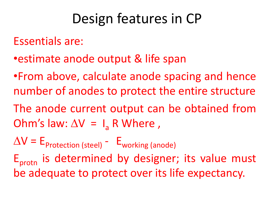### Design features in CP

Essentials are:

- •estimate anode output & life span
- •From above, calculate anode spacing and hence number of anodes to protect the entire structure
- The anode current output can be obtained from Ohm's law:  $\Delta V = I_a R$  Where,
- $\Delta V = E_{\text{Protection (steel)}} E_{\text{working (anode)}}$  $E_{\text{protn}}$  is determined by designer; its value must be adequate to protect over its life expectancy.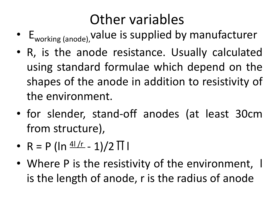### Other variables

- E<sub>working (anode)</sub>, value is supplied by manufacturer
- R, is the anode resistance. Usually calculated using standard formulae which depend on the shapes of the anode in addition to resistivity of the environment.
- for slender, stand-off anodes (at least 30cm from structure),
- $R = P (\ln \frac{41/r}{r} 1)/2 \Pi$
- Where P is the resistivity of the environment, I is the length of anode, r is the radius of anode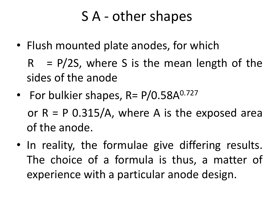### S A - other shapes

• Flush mounted plate anodes, for which

 $R = P/2S$ , where S is the mean length of the sides of the anode

• For bulkier shapes, R= P/0.58A<sup>0.727</sup> or  $R = P$  0.315/A, where A is the exposed area

of the anode.

• In reality, the formulae give differing results. The choice of a formula is thus, a matter of experience with a particular anode design.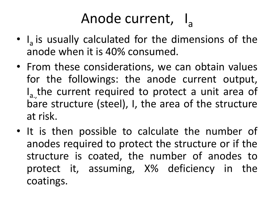# Anode current, l<sub>a</sub>

- I<sub>a</sub> is usually calculated for the dimensions of the anode when it is 40% consumed.
- From these considerations, we can obtain values for the followings: the anode current output, I<sub>a.,</sub> the current required to protect a unit area of bare structure (steel), I, the area of the structure at risk.
- It is then possible to calculate the number of anodes required to protect the structure or if the structure is coated, the number of anodes to protect it, assuming, X% deficiency in the coatings.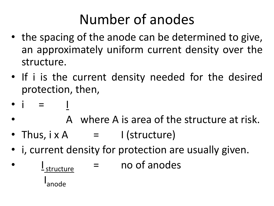## Number of anodes

- the spacing of the anode can be determined to give, an approximately uniform current density over the structure.
- If i is the current density needed for the desired protection, then,
- $\bullet$   $\bullet$
- A where A is area of the structure at risk.
- Thus,  $i \times A$  = I (structure)
- i, current density for protection are usually given.
- <u>I</u> L<sub>structure</sub> no of anodes **In the Common** anode